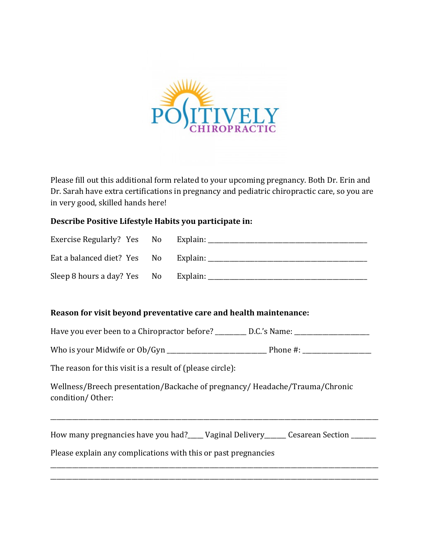

Please fill out this additional form related to your upcoming pregnancy. Both Dr. Erin and Dr. Sarah have extra certifications in pregnancy and pediatric chiropractic care, so you are in very good, skilled hands here!

## **Describe Positive Lifestyle Habits you participate in:**

| Exercise Regularly? Yes No           |          |
|--------------------------------------|----------|
| Eat a balanced diet? Yes No          | Explain: |
| Sleep 8 hours a day? Yes No Explain: |          |

## **Reason for visit beyond preventative care and health maintenance:**

Have you ever been to a Chiropractor before? \_\_\_\_\_\_\_\_\_ D.C.'s Name: \_\_\_\_\_\_\_\_\_\_\_\_\_

Who is your Midwife or Ob/Gyn \_\_\_\_\_\_\_\_\_\_\_\_\_\_\_\_\_\_\_\_\_\_\_\_\_\_\_\_\_\_\_\_ Phone #: \_\_\_\_\_\_\_\_\_\_\_\_\_\_\_\_\_\_\_\_\_\_

The reason for this visit is a result of (please circle):

Wellness/Breech presentation/Backache of pregnancy/ Headache/Trauma/Chronic condition/ Other:

How many pregnancies have you had?\_\_\_\_ Vaginal Delivery\_\_\_\_\_\_ Cesarean Section \_\_\_\_\_\_

\_\_\_\_\_\_\_\_\_\_\_\_\_\_\_\_\_\_\_\_\_\_\_\_\_\_\_\_\_\_\_\_\_\_\_\_\_\_\_\_\_\_\_\_\_\_\_\_\_\_\_\_\_\_\_\_\_\_\_\_\_\_\_\_\_\_\_\_\_\_\_\_\_\_\_\_\_\_\_\_\_\_\_\_\_\_\_\_\_\_\_\_\_\_\_\_\_\_\_\_\_\_\_\_\_

\_\_\_\_\_\_\_\_\_\_\_\_\_\_\_\_\_\_\_\_\_\_\_\_\_\_\_\_\_\_\_\_\_\_\_\_\_\_\_\_\_\_\_\_\_\_\_\_\_\_\_\_\_\_\_\_\_\_\_\_\_\_\_\_\_\_\_\_\_\_\_\_\_\_\_\_\_\_\_\_\_\_\_\_\_\_\_\_\_\_\_\_\_\_\_\_\_\_\_\_\_\_\_\_\_ \_\_\_\_\_\_\_\_\_\_\_\_\_\_\_\_\_\_\_\_\_\_\_\_\_\_\_\_\_\_\_\_\_\_\_\_\_\_\_\_\_\_\_\_\_\_\_\_\_\_\_\_\_\_\_\_\_\_\_\_\_\_\_\_\_\_\_\_\_\_\_\_\_\_\_\_\_\_\_\_\_\_\_\_\_\_\_\_\_\_\_\_\_\_\_\_\_\_\_\_\_\_\_\_\_

Please explain any complications with this or past pregnancies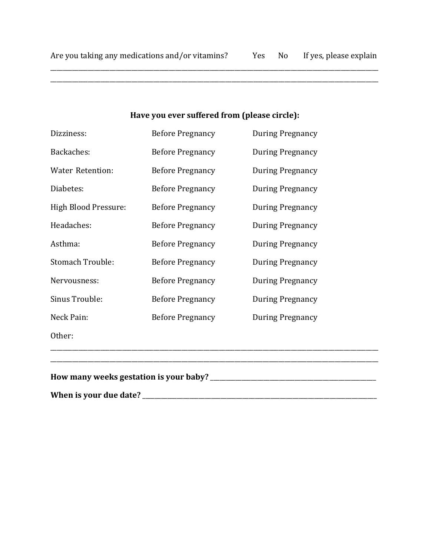\_\_\_\_\_\_\_\_\_\_\_\_\_\_\_\_\_\_\_\_\_\_\_\_\_\_\_\_\_\_\_\_\_\_\_\_\_\_\_\_\_\_\_\_\_\_\_\_\_\_\_\_\_\_\_\_\_\_\_\_\_\_\_\_\_\_\_\_\_\_\_\_\_\_\_\_\_\_\_\_\_\_\_\_\_\_\_\_\_\_\_\_\_\_\_\_\_\_\_\_\_\_\_\_\_

# **Have you ever suffered from (please circle):**

| How many weeks gestation is your baby? _ |                         |                         |
|------------------------------------------|-------------------------|-------------------------|
|                                          |                         |                         |
| Other:                                   |                         |                         |
| Neck Pain:                               | <b>Before Pregnancy</b> | During Pregnancy        |
| Sinus Trouble:                           | <b>Before Pregnancy</b> | <b>During Pregnancy</b> |
| Nervousness:                             | <b>Before Pregnancy</b> | <b>During Pregnancy</b> |
| <b>Stomach Trouble:</b>                  | <b>Before Pregnancy</b> | During Pregnancy        |
| Asthma:                                  | <b>Before Pregnancy</b> | During Pregnancy        |
| Headaches:                               | <b>Before Pregnancy</b> | During Pregnancy        |
| High Blood Pressure:                     | <b>Before Pregnancy</b> | During Pregnancy        |
| Diabetes:                                | <b>Before Pregnancy</b> | During Pregnancy        |
| <b>Water Retention:</b>                  | <b>Before Pregnancy</b> | <b>During Pregnancy</b> |
| Backaches:                               | <b>Before Pregnancy</b> | <b>During Pregnancy</b> |
| Dizziness:                               | <b>Before Pregnancy</b> | During Pregnancy        |

**When is your due date?** \_\_\_\_\_\_\_\_\_\_\_\_\_\_\_\_\_\_\_\_\_\_\_\_\_\_\_\_\_\_\_\_\_\_\_\_\_\_\_\_\_\_\_\_\_\_\_\_\_\_\_\_\_\_\_\_\_\_\_\_\_\_\_\_\_\_\_\_\_\_\_\_\_\_\_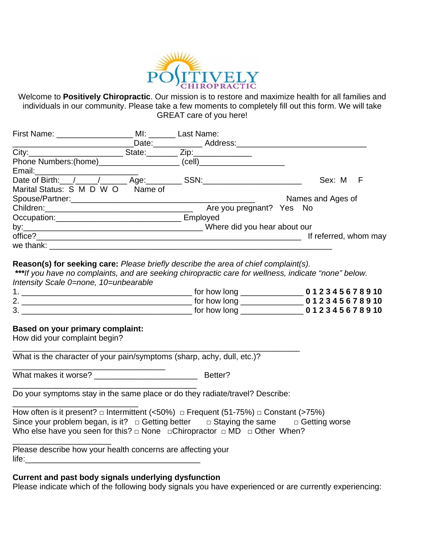

Welcome to **Positively Chiropractic**. Our mission is to restore and maximize health for all families and individuals in our community. Please take a few moments to completely fill out this form. We will take GREAT care of you here!

| First Name: _______________                                                                                                                                                                                                   |         | MI: Last Name:                                                                                                                                                                                                                 |                       |
|-------------------------------------------------------------------------------------------------------------------------------------------------------------------------------------------------------------------------------|---------|--------------------------------------------------------------------------------------------------------------------------------------------------------------------------------------------------------------------------------|-----------------------|
|                                                                                                                                                                                                                               |         | Date: Address:                                                                                                                                                                                                                 |                       |
|                                                                                                                                                                                                                               |         | State: Zip: Zip:                                                                                                                                                                                                               |                       |
| Phone Numbers: (home) (cell)                                                                                                                                                                                                  |         |                                                                                                                                                                                                                                |                       |
|                                                                                                                                                                                                                               |         |                                                                                                                                                                                                                                |                       |
| Date of Birth: / / / / / Age:                                                                                                                                                                                                 |         | SSN: Andrew SSN: Andrew SSN: Andrew SSN: Andrew SSN: Andrew SSN: Andrew SSN: Andrew SSN: Andrew SSN: Andrew SSN: Andrew SSN: Andrew SSN: Andrew SSN: Andrew SSN: Andrew SSN: Andrew SSN: Andrew SSN: Andrew SSN: Andrew SSN: A | Sex: M<br>F           |
| Marital Status: S M D W O                                                                                                                                                                                                     | Name of |                                                                                                                                                                                                                                |                       |
|                                                                                                                                                                                                                               |         |                                                                                                                                                                                                                                | Names and Ages of     |
|                                                                                                                                                                                                                               |         | Are you pregnant? Yes No                                                                                                                                                                                                       |                       |
| Occupation: Designation of the state of the state of the state of the state of the state of the state of the state of the state of the state of the state of the state of the state of the state of the state of the state of |         | Employed                                                                                                                                                                                                                       |                       |
| by: $\overline{\phantom{a}}$                                                                                                                                                                                                  |         | Where did you hear about our                                                                                                                                                                                                   |                       |
| office?                                                                                                                                                                                                                       |         |                                                                                                                                                                                                                                | If referred, whom may |
| we thank: _________                                                                                                                                                                                                           |         |                                                                                                                                                                                                                                |                       |

#### **Reason(s) for seeking care:** *Please briefly describe the area of chief complaint(s).*

*\*\*\*If you have no complaints, and are seeking chiropractic care for wellness, indicate "none" below. Intensity Scale 0=none, 10=unbearable* 

|   | for how long | 012345678910 |
|---|--------------|--------------|
| ∼ | for how long | 012345678910 |
| ັ | for how long | 012345678910 |

### **Based on your primary complaint:**

How did your complaint begin?

What is the character of your pain/symptoms (sharp, achy, dull, etc.)?  $\overline{\phantom{a}}$  , and the set of the set of the set of the set of the set of the set of the set of the set of the set of the set of the set of the set of the set of the set of the set of the set of the set of the set of the s

What makes it worse? \_\_\_\_\_\_\_\_\_\_\_\_\_\_\_\_\_\_\_\_\_\_\_ Better?

\_\_\_\_\_\_\_\_\_\_\_\_\_\_\_\_\_\_\_\_\_\_\_\_\_\_\_\_\_\_\_\_\_\_\_\_\_\_\_\_\_ Do your symptoms stay in the same place or do they radiate/travel? Describe:

\_\_\_\_\_\_\_\_\_\_\_\_\_\_\_\_\_\_\_\_\_\_\_\_\_\_\_\_\_\_\_\_\_\_\_\_\_\_\_\_\_\_\_\_\_\_\_\_\_\_\_\_\_\_\_\_\_\_\_\_\_\_\_\_

|  | How often is it present? $\Box$ Intermittent (<50%) $\Box$ Frequent (51-75%) $\Box$ Constant (>75%) |                                                                                                     |
|--|-----------------------------------------------------------------------------------------------------|-----------------------------------------------------------------------------------------------------|
|  |                                                                                                     | Since your problem began, is it? $\Box$ Getting better $\Box$ Staying the same $\Box$ Getting worse |
|  | Who else have you seen for this? $\Box$ None $\Box$ Chiropractor $\Box$ MD $\Box$ Other When?       |                                                                                                     |

\_\_\_\_\_\_\_\_\_\_\_\_\_\_\_\_\_\_\_\_\_\_ Please describe how your health concerns are affecting your life:\_\_\_\_\_\_\_\_\_\_\_\_\_\_\_\_\_\_\_\_\_\_\_\_\_\_\_\_\_\_\_\_\_\_\_\_\_\_\_

### **Current and past body signals underlying dysfunction**

Please indicate which of the following body signals you have experienced or are currently experiencing: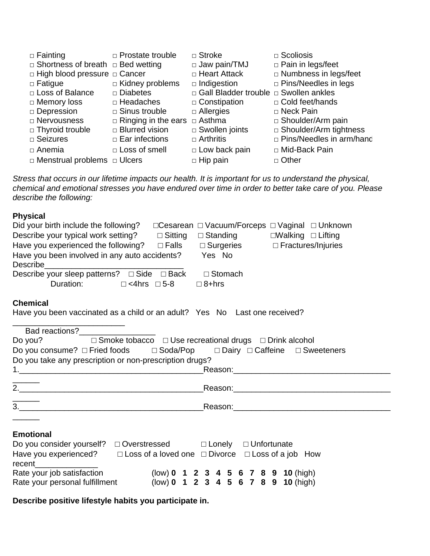| $\Box$ Fainting                               | $\Box$ Prostate trouble                  | $\Box$ Stroke                           | $\Box$ Scoliosis                |
|-----------------------------------------------|------------------------------------------|-----------------------------------------|---------------------------------|
| $\Box$ Shortness of breath $\Box$ Bed wetting |                                          | $\Box$ Jaw pain/TMJ                     | $\Box$ Pain in legs/feet        |
| $\Box$ High blood pressure $\Box$ Cancer      |                                          | □ Heart Attack                          | $\Box$ Numbness in legs/feet    |
| $\Box$ Fatigue                                | $\Box$ Kidney problems                   | $\Box$ Indigestion                      | $\Box$ Pins/Needles in legs     |
| □ Loss of Balance                             | $\square$ Diabetes                       | □ Gall Bladder trouble □ Swollen ankles |                                 |
| $\Box$ Memory loss                            | $\Box$ Headaches                         | $\Box$ Constipation                     | $\Box$ Cold feet/hands          |
| □ Depression                                  | $\Box$ Sinus trouble                     | $\Box$ Allergies                        | $\Box$ Neck Pain                |
| □ Nervousness                                 | $\Box$ Ringing in the ears $\Box$ Asthma |                                         | $\Box$ Shoulder/Arm pain        |
| □ Thyroid trouble                             | $\Box$ Blurred vision                    | $\square$ Swollen joints                | $\Box$ Shoulder/Arm tightness   |
| $\Box$ Seizures                               | $\Box$ Ear infections                    | $\Box$ Arthritis                        | $\Box$ Pins/Needles in arm/hanc |
| $\Box$ Anemia                                 | $\Box$ Loss of smell                     | $\Box$ Low back pain                    | □ Mid-Back Pain                 |
| $\Box$ Menstrual problems $\Box$ Ulcers       |                                          | $\Box$ Hip pain                         | $\Box$ Other                    |

*Stress that occurs in our lifetime impacts our health. It is important for us to understand the physical, chemical and emotional stresses you have endured over time in order to better take care of you. Please describe the following:*

## **Physical**

| Did your birth include the following?                                                         |                 | □ Cesarean □ Vacuum/Forceps □ Vaginal □ Unknown |                               |  |
|-----------------------------------------------------------------------------------------------|-----------------|-------------------------------------------------|-------------------------------|--|
| Describe your typical work setting?                                                           | $\Box$ Sitting  | $\Box$ Standing                                 | $\Box$ Walking $\Box$ Lifting |  |
| Have you experienced the following?                                                           | $\square$ Falls | $\Box$ Surgeries                                | $\Box$ Fractures/Injuries     |  |
| Have you been involved in any auto accidents?                                                 |                 | Yes No                                          |                               |  |
| Describe                                                                                      |                 |                                                 |                               |  |
| Describe your sleep patterns? $\Box$ Side $\Box$ Back                                         |                 | $\Box$ Stomach                                  |                               |  |
| $\Box$ <4hrs $\Box$ 5-8<br>Duration:                                                          |                 | $\Box$ 8+hrs                                    |                               |  |
|                                                                                               |                 |                                                 |                               |  |
| <b>Chemical</b><br>Have you heen vaccinated as a child or an adult? Yes No Last one received? |                 |                                                 |                               |  |

| Have you been vaccinated as a child or an adult? Yes No Last one received? |  |  |
|----------------------------------------------------------------------------|--|--|
|----------------------------------------------------------------------------|--|--|

|           | Bad reactions?<br><u>Lettermanually</u>                 |                                                                                                                                                                                                                               |
|-----------|---------------------------------------------------------|-------------------------------------------------------------------------------------------------------------------------------------------------------------------------------------------------------------------------------|
|           |                                                         | Do you? $\square$ Smoke tobacco $\square$ Use recreational drugs $\square$ Drink alcohol                                                                                                                                      |
|           |                                                         | Do you consume? □ Fried foods □ Soda/Pop □ Dairy □ Caffeine □ Sweeteners                                                                                                                                                      |
|           | Do you take any prescription or non-prescription drugs? |                                                                                                                                                                                                                               |
|           |                                                         | Reason: Network and the settlement of the settlement of the settlement of the settlement of the settlement of the settlement of the settlement of the settlement of the settlement of the settlement of the settlement of the |
| 2.        |                                                         | Reason:                                                                                                                                                                                                                       |
| 3.        |                                                         |                                                                                                                                                                                                                               |
|           |                                                         |                                                                                                                                                                                                                               |
| Emotional |                                                         |                                                                                                                                                                                                                               |

### **Emotional**

| Do you consider yourself? □ Overstressed |                                                                    | □ Lonely □ Unfortunate |  |  |  |
|------------------------------------------|--------------------------------------------------------------------|------------------------|--|--|--|
| Have you experienced?                    | $\Box$ Loss of a loved one $\Box$ Divorce $\Box$ Loss of a job How |                        |  |  |  |
| recent                                   |                                                                    |                        |  |  |  |
| Rate your job satisfaction               | $(low)$ 0 1 2 3 4 5 6 7 8 9 10 (high)                              |                        |  |  |  |
| Rate your personal fulfillment           | $(low)$ 0 1 2 3 4 5 6 7 8 9 10 (high)                              |                        |  |  |  |

**Describe positive lifestyle habits you participate in.**